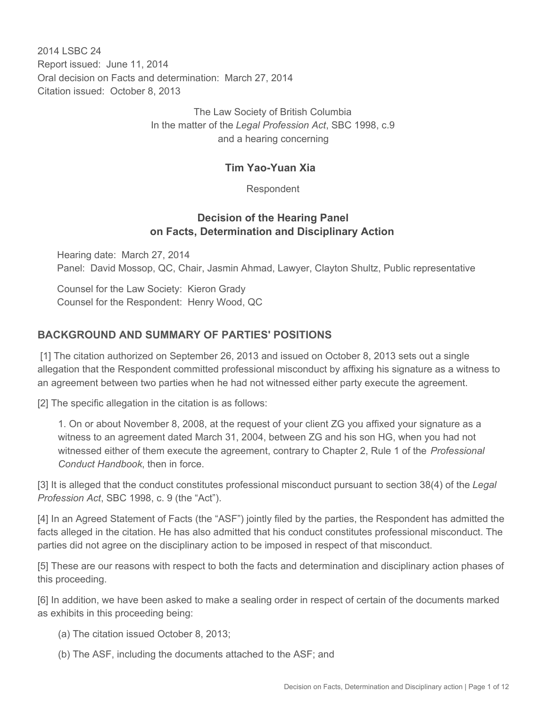2014 I SBC 24 Report issued: June 11, 2014 Oral decision on Facts and determination: March 27, 2014 Citation issued: October 8, 2013

> The Law Society of British Columbia In the matter of the *Legal Profession Act*, SBC 1998, c.9 and a hearing concerning

#### **Tim Yao-Yuan Xia**

Respondent

#### **Decision of the Hearing Panel on Facts, Determination and Disciplinary Action**

Hearing date: March 27, 2014 Panel: David Mossop, QC, Chair, Jasmin Ahmad, Lawyer, Clayton Shultz, Public representative

Counsel for the Law Society: Kieron Grady Counsel for the Respondent: Henry Wood, QC

# **BACKGROUND AND SUMMARY OF PARTIES' POSITIONS**

 [1] The citation authorized on September 26, 2013 and issued on October 8, 2013 sets out a single allegation that the Respondent committed professional misconduct by affixing his signature as a witness to an agreement between two parties when he had not witnessed either party execute the agreement.

[2] The specific allegation in the citation is as follows:

1. On or about November 8, 2008, at the request of your client ZG you affixed your signature as a witness to an agreement dated March 31, 2004, between ZG and his son HG, when you had not witnessed either of them execute the agreement, contrary to Chapter 2, Rule 1 of the *Professional Conduct Handbook*, then in force.

[3] It is alleged that the conduct constitutes professional misconduct pursuant to section 38(4) of the *Legal Profession Act*, SBC 1998, c. 9 (the "Act").

[4] In an Agreed Statement of Facts (the "ASF") jointly filed by the parties, the Respondent has admitted the facts alleged in the citation. He has also admitted that his conduct constitutes professional misconduct. The parties did not agree on the disciplinary action to be imposed in respect of that misconduct.

[5] These are our reasons with respect to both the facts and determination and disciplinary action phases of this proceeding.

[6] In addition, we have been asked to make a sealing order in respect of certain of the documents marked as exhibits in this proceeding being:

- (a) The citation issued October 8, 2013;
- (b) The ASF, including the documents attached to the ASF; and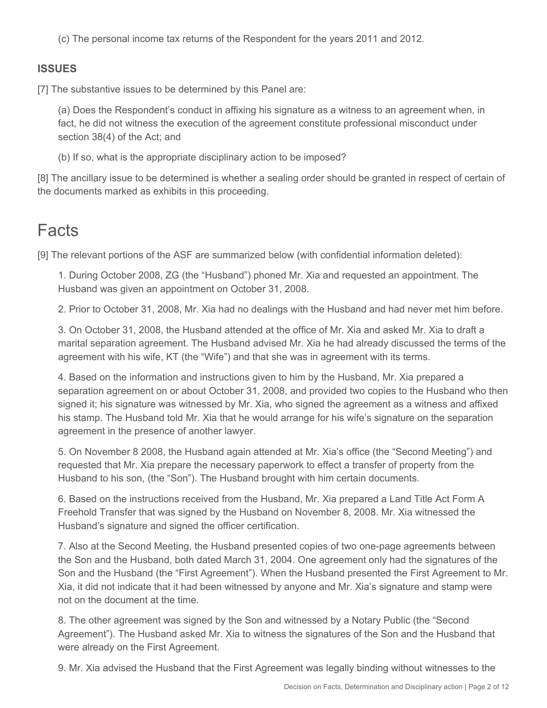(c) The personal income tax returns of the Respondent for the years 2011 and 2012.

# **ISSUES**

[7] The substantive issues to be determined by this Panel are:

(a) Does the Respondent's conduct in affixing his signature as a witness to an agreement when, in fact, he did not witness the execution of the agreement constitute professional misconduct under section 38(4) of the Act; and

(b) If so, what is the appropriate disciplinary action to be imposed?

[8] The ancillary issue to be determined is whether a sealing order should be granted in respect of certain of the documents marked as exhibits in this proceeding.

# **Facts**

[9] The relevant portions of the ASF are summarized below (with confidential information deleted):

1. During October 2008, ZG (the "Husband") phoned Mr. Xia and requested an appointment. The Husband was given an appointment on October 31, 2008.

2. Prior to October 31, 2008, Mr. Xia had no dealings with the Husband and had never met him before.

3. On October 31, 2008, the Husband attended at the office of Mr. Xia and asked Mr. Xia to draft a marital separation agreement. The Husband advised Mr. Xia he had already discussed the terms of the agreement with his wife, KT (the "Wife") and that she was in agreement with its terms.

4. Based on the information and instructions given to him by the Husband, Mr. Xia prepared a separation agreement on or about October 31, 2008, and provided two copies to the Husband who then signed it; his signature was witnessed by Mr. Xia, who signed the agreement as a witness and affixed his stamp. The Husband told Mr. Xia that he would arrange for his wife's signature on the separation agreement in the presence of another lawyer.

5. On November 8 2008, the Husband again attended at Mr. Xia's office (the "Second Meeting") and requested that Mr. Xia prepare the necessary paperwork to effect a transfer of property from the Husband to his son, (the "Son"). The Husband brought with him certain documents.

6. Based on the instructions received from the Husband, Mr. Xia prepared a Land Title Act Form A Freehold Transfer that was signed by the Husband on November 8, 2008. Mr. Xia witnessed the Husband's signature and signed the officer certification.

7. Also at the Second Meeting, the Husband presented copies of two one-page agreements between the Son and the Husband, both dated March 31, 2004. One agreement only had the signatures of the Son and the Husband (the "First Agreement"). When the Husband presented the First Agreement to Mr. Xia, it did not indicate that it had been witnessed by anyone and Mr. Xia's signature and stamp were not on the document at the time.

8. The other agreement was signed by the Son and witnessed by a Notary Public (the "Second Agreement"). The Husband asked Mr. Xia to witness the signatures of the Son and the Husband that were already on the First Agreement.

9. Mr. Xia advised the Husband that the First Agreement was legally binding without witnesses to the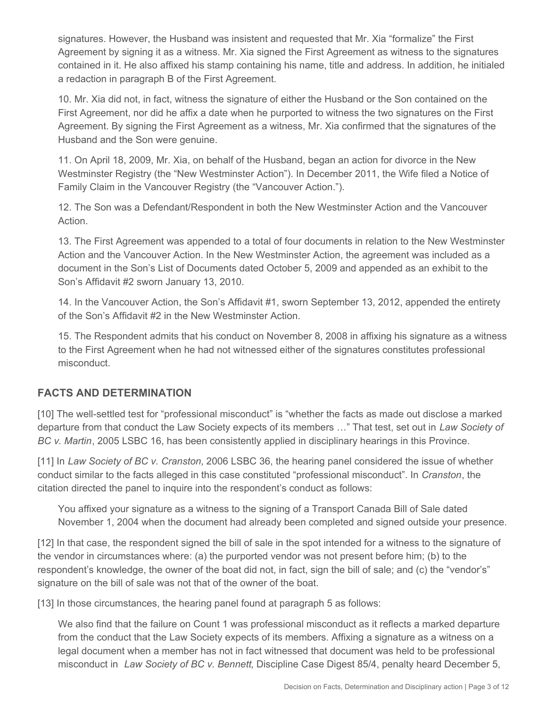signatures. However, the Husband was insistent and requested that Mr. Xia "formalize" the First Agreement by signing it as a witness. Mr. Xia signed the First Agreement as witness to the signatures contained in it. He also affixed his stamp containing his name, title and address. In addition, he initialed a redaction in paragraph B of the First Agreement.

10. Mr. Xia did not, in fact, witness the signature of either the Husband or the Son contained on the First Agreement, nor did he affix a date when he purported to witness the two signatures on the First Agreement. By signing the First Agreement as a witness, Mr. Xia confirmed that the signatures of the Husband and the Son were genuine.

11. On April 18, 2009, Mr. Xia, on behalf of the Husband, began an action for divorce in the New Westminster Registry (the "New Westminster Action"). In December 2011, the Wife filed a Notice of Family Claim in the Vancouver Registry (the "Vancouver Action.").

12. The Son was a Defendant/Respondent in both the New Westminster Action and the Vancouver Action.

13. The First Agreement was appended to a total of four documents in relation to the New Westminster Action and the Vancouver Action. In the New Westminster Action, the agreement was included as a document in the Son's List of Documents dated October 5, 2009 and appended as an exhibit to the Son's Affidavit #2 sworn January 13, 2010.

14. In the Vancouver Action, the Son's Affidavit #1, sworn September 13, 2012, appended the entirety of the Son's Affidavit #2 in the New Westminster Action.

15. The Respondent admits that his conduct on November 8, 2008 in affixing his signature as a witness to the First Agreement when he had not witnessed either of the signatures constitutes professional misconduct.

# **FACTS AND DETERMINATION**

[10] The well-settled test for "professional misconduct" is "whether the facts as made out disclose a marked departure from that conduct the Law Society expects of its members …" That test, set out in *Law Society of BC v. Martin*, 2005 LSBC 16, has been consistently applied in disciplinary hearings in this Province.

[11] In *Law Society of BC v. Cranston*, 2006 LSBC 36, the hearing panel considered the issue of whether conduct similar to the facts alleged in this case constituted "professional misconduct". In *Cranston*, the citation directed the panel to inquire into the respondent's conduct as follows:

You affixed your signature as a witness to the signing of a Transport Canada Bill of Sale dated November 1, 2004 when the document had already been completed and signed outside your presence.

[12] In that case, the respondent signed the bill of sale in the spot intended for a witness to the signature of the vendor in circumstances where: (a) the purported vendor was not present before him; (b) to the respondent's knowledge, the owner of the boat did not, in fact, sign the bill of sale; and (c) the "vendor's" signature on the bill of sale was not that of the owner of the boat.

[13] In those circumstances, the hearing panel found at paragraph 5 as follows:

We also find that the failure on Count 1 was professional misconduct as it reflects a marked departure from the conduct that the Law Society expects of its members. Affixing a signature as a witness on a legal document when a member has not in fact witnessed that document was held to be professional misconduct in *Law Society of BC v. Bennett*, Discipline Case Digest 85/4, penalty heard December 5,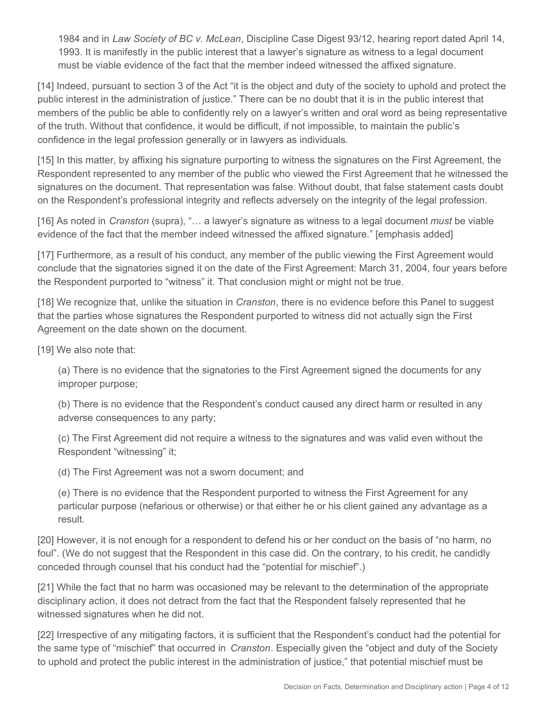1984 and in *Law Society of BC v. McLean*, Discipline Case Digest 93/12, hearing report dated April 14, 1993. It is manifestly in the public interest that a lawyer's signature as witness to a legal document must be viable evidence of the fact that the member indeed witnessed the affixed signature.

[14] Indeed, pursuant to section 3 of the Act "it is the object and duty of the society to uphold and protect the public interest in the administration of justice." There can be no doubt that it is in the public interest that members of the public be able to confidently rely on a lawyer's written and oral word as being representative of the truth. Without that confidence, it would be difficult, if not impossible, to maintain the public's confidence in the legal profession generally or in lawyers as individuals.

[15] In this matter, by affixing his signature purporting to witness the signatures on the First Agreement, the Respondent represented to any member of the public who viewed the First Agreement that he witnessed the signatures on the document. That representation was false. Without doubt, that false statement casts doubt on the Respondent's professional integrity and reflects adversely on the integrity of the legal profession.

[16] As noted in *Cranston* (supra), "… a lawyer's signature as witness to a legal document *must* be viable evidence of the fact that the member indeed witnessed the affixed signature." [emphasis added]

[17] Furthermore, as a result of his conduct, any member of the public viewing the First Agreement would conclude that the signatories signed it on the date of the First Agreement: March 31, 2004, four years before the Respondent purported to "witness" it. That conclusion might or might not be true.

[18] We recognize that, unlike the situation in *Cranston*, there is no evidence before this Panel to suggest that the parties whose signatures the Respondent purported to witness did not actually sign the First Agreement on the date shown on the document.

[19] We also note that:

(a) There is no evidence that the signatories to the First Agreement signed the documents for any improper purpose;

(b) There is no evidence that the Respondent's conduct caused any direct harm or resulted in any adverse consequences to any party;

(c) The First Agreement did not require a witness to the signatures and was valid even without the Respondent "witnessing" it;

(d) The First Agreement was not a sworn document; and

(e) There is no evidence that the Respondent purported to witness the First Agreement for any particular purpose (nefarious or otherwise) or that either he or his client gained any advantage as a result.

[20] However, it is not enough for a respondent to defend his or her conduct on the basis of "no harm, no foul". (We do not suggest that the Respondent in this case did. On the contrary, to his credit, he candidly conceded through counsel that his conduct had the "potential for mischief".)

[21] While the fact that no harm was occasioned may be relevant to the determination of the appropriate disciplinary action, it does not detract from the fact that the Respondent falsely represented that he witnessed signatures when he did not.

[22] Irrespective of any mitigating factors, it is sufficient that the Respondent's conduct had the potential for the same type of "mischief" that occurred in *Cranston*. Especially given the "object and duty of the Society to uphold and protect the public interest in the administration of justice," that potential mischief must be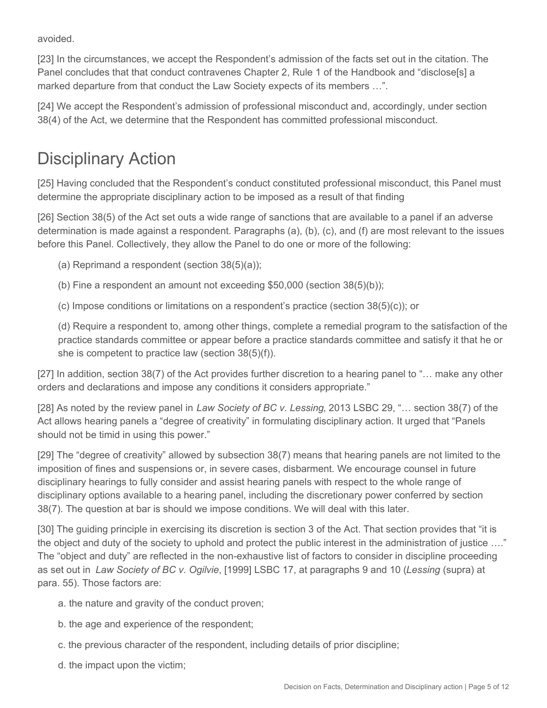avoided.

[23] In the circumstances, we accept the Respondent's admission of the facts set out in the citation. The Panel concludes that that conduct contravenes Chapter 2, Rule 1 of the Handbook and "disclose[s] a marked departure from that conduct the Law Society expects of its members …".

[24] We accept the Respondent's admission of professional misconduct and, accordingly, under section 38(4) of the Act, we determine that the Respondent has committed professional misconduct.

# Disciplinary Action

[25] Having concluded that the Respondent's conduct constituted professional misconduct, this Panel must determine the appropriate disciplinary action to be imposed as a result of that finding

[26] Section 38(5) of the Act set outs a wide range of sanctions that are available to a panel if an adverse determination is made against a respondent. Paragraphs (a), (b), (c), and (f) are most relevant to the issues before this Panel. Collectively, they allow the Panel to do one or more of the following:

(a) Reprimand a respondent (section 38(5)(a));

(b) Fine a respondent an amount not exceeding \$50,000 (section 38(5)(b));

(c) Impose conditions or limitations on a respondent's practice (section 38(5)(c)); or

(d) Require a respondent to, among other things, complete a remedial program to the satisfaction of the practice standards committee or appear before a practice standards committee and satisfy it that he or she is competent to practice law (section 38(5)(f)).

[27] In addition, section 38(7) of the Act provides further discretion to a hearing panel to "… make any other orders and declarations and impose any conditions it considers appropriate."

[28] As noted by the review panel in *Law Society of BC v. Lessing*, 2013 LSBC 29, "… section 38(7) of the Act allows hearing panels a "degree of creativity" in formulating disciplinary action. It urged that "Panels should not be timid in using this power."

[29] The "degree of creativity" allowed by subsection 38(7) means that hearing panels are not limited to the imposition of fines and suspensions or, in severe cases, disbarment. We encourage counsel in future disciplinary hearings to fully consider and assist hearing panels with respect to the whole range of disciplinary options available to a hearing panel, including the discretionary power conferred by section 38(7). The question at bar is should we impose conditions. We will deal with this later.

[30] The guiding principle in exercising its discretion is section 3 of the Act. That section provides that "it is the object and duty of the society to uphold and protect the public interest in the administration of justice …." The "object and duty" are reflected in the non-exhaustive list of factors to consider in discipline proceeding as set out in *Law Society of BC v. Ogilvie*, [1999] LSBC 17, at paragraphs 9 and 10 (*Lessing* (supra) at para. 55). Those factors are:

a. the nature and gravity of the conduct proven;

- b. the age and experience of the respondent;
- c. the previous character of the respondent, including details of prior discipline;
- d. the impact upon the victim;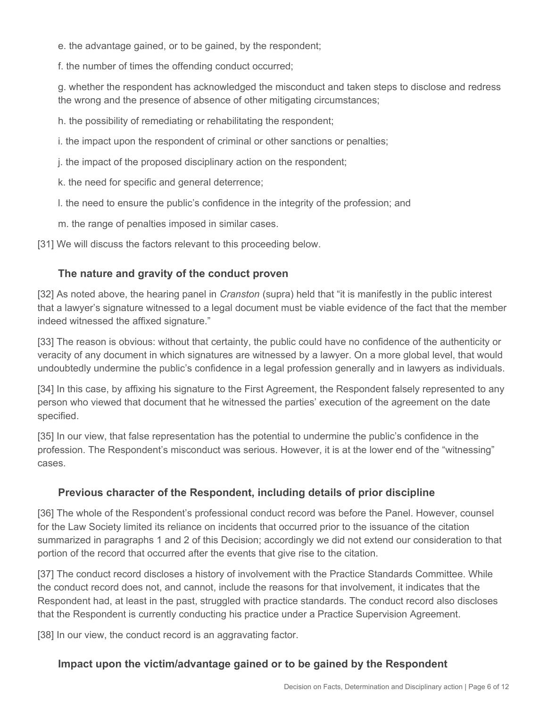e. the advantage gained, or to be gained, by the respondent;

f. the number of times the offending conduct occurred;

g. whether the respondent has acknowledged the misconduct and taken steps to disclose and redress the wrong and the presence of absence of other mitigating circumstances;

h. the possibility of remediating or rehabilitating the respondent;

i. the impact upon the respondent of criminal or other sanctions or penalties;

j. the impact of the proposed disciplinary action on the respondent;

k. the need for specific and general deterrence;

l. the need to ensure the public's confidence in the integrity of the profession; and

m. the range of penalties imposed in similar cases.

[31] We will discuss the factors relevant to this proceeding below.

#### **The nature and gravity of the conduct proven**

[32] As noted above, the hearing panel in *Cranston* (supra) held that "it is manifestly in the public interest that a lawyer's signature witnessed to a legal document must be viable evidence of the fact that the member indeed witnessed the affixed signature."

[33] The reason is obvious: without that certainty, the public could have no confidence of the authenticity or veracity of any document in which signatures are witnessed by a lawyer. On a more global level, that would undoubtedly undermine the public's confidence in a legal profession generally and in lawyers as individuals.

[34] In this case, by affixing his signature to the First Agreement, the Respondent falsely represented to any person who viewed that document that he witnessed the parties' execution of the agreement on the date specified.

[35] In our view, that false representation has the potential to undermine the public's confidence in the profession. The Respondent's misconduct was serious. However, it is at the lower end of the "witnessing" cases.

# **Previous character of the Respondent, including details of prior discipline**

[36] The whole of the Respondent's professional conduct record was before the Panel. However, counsel for the Law Society limited its reliance on incidents that occurred prior to the issuance of the citation summarized in paragraphs 1 and 2 of this Decision; accordingly we did not extend our consideration to that portion of the record that occurred after the events that give rise to the citation.

[37] The conduct record discloses a history of involvement with the Practice Standards Committee. While the conduct record does not, and cannot, include the reasons for that involvement, it indicates that the Respondent had, at least in the past, struggled with practice standards. The conduct record also discloses that the Respondent is currently conducting his practice under a Practice Supervision Agreement.

[38] In our view, the conduct record is an aggravating factor.

# **Impact upon the victim/advantage gained or to be gained by the Respondent**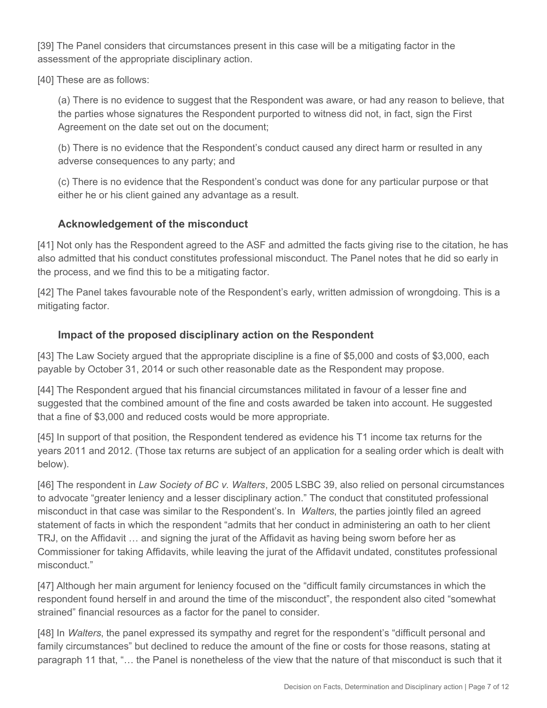[39] The Panel considers that circumstances present in this case will be a mitigating factor in the assessment of the appropriate disciplinary action.

[40] These are as follows:

(a) There is no evidence to suggest that the Respondent was aware, or had any reason to believe, that the parties whose signatures the Respondent purported to witness did not, in fact, sign the First Agreement on the date set out on the document;

(b) There is no evidence that the Respondent's conduct caused any direct harm or resulted in any adverse consequences to any party; and

(c) There is no evidence that the Respondent's conduct was done for any particular purpose or that either he or his client gained any advantage as a result.

#### **Acknowledgement of the misconduct**

[41] Not only has the Respondent agreed to the ASF and admitted the facts giving rise to the citation, he has also admitted that his conduct constitutes professional misconduct. The Panel notes that he did so early in the process, and we find this to be a mitigating factor.

[42] The Panel takes favourable note of the Respondent's early, written admission of wrongdoing. This is a mitigating factor.

# **Impact of the proposed disciplinary action on the Respondent**

[43] The Law Society argued that the appropriate discipline is a fine of \$5,000 and costs of \$3,000, each payable by October 31, 2014 or such other reasonable date as the Respondent may propose.

[44] The Respondent argued that his financial circumstances militated in favour of a lesser fine and suggested that the combined amount of the fine and costs awarded be taken into account. He suggested that a fine of \$3,000 and reduced costs would be more appropriate.

[45] In support of that position, the Respondent tendered as evidence his T1 income tax returns for the years 2011 and 2012. (Those tax returns are subject of an application for a sealing order which is dealt with below).

[46] The respondent in *Law Society of BC v. Walters*, 2005 LSBC 39, also relied on personal circumstances to advocate "greater leniency and a lesser disciplinary action." The conduct that constituted professional misconduct in that case was similar to the Respondent's. In *Walters*, the parties jointly filed an agreed statement of facts in which the respondent "admits that her conduct in administering an oath to her client TRJ, on the Affidavit … and signing the jurat of the Affidavit as having being sworn before her as Commissioner for taking Affidavits, while leaving the jurat of the Affidavit undated, constitutes professional misconduct."

[47] Although her main argument for leniency focused on the "difficult family circumstances in which the respondent found herself in and around the time of the misconduct", the respondent also cited "somewhat strained" financial resources as a factor for the panel to consider.

[48] In *Walters*, the panel expressed its sympathy and regret for the respondent's "difficult personal and family circumstances" but declined to reduce the amount of the fine or costs for those reasons, stating at paragraph 11 that, "… the Panel is nonetheless of the view that the nature of that misconduct is such that it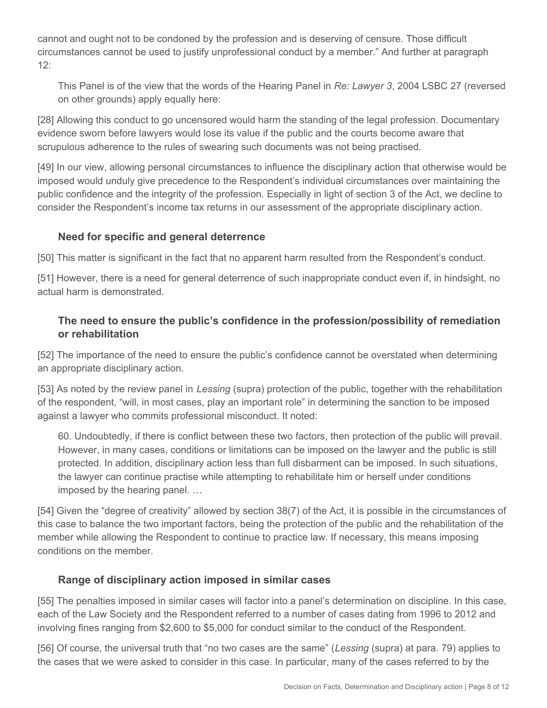cannot and ought not to be condoned by the profession and is deserving of censure. Those difficult circumstances cannot be used to justify unprofessional conduct by a member." And further at paragraph 12:

This Panel is of the view that the words of the Hearing Panel in *Re: Lawyer 3*, 2004 LSBC 27 (reversed on other grounds) apply equally here:

[28] Allowing this conduct to go uncensored would harm the standing of the legal profession. Documentary evidence sworn before lawyers would lose its value if the public and the courts become aware that scrupulous adherence to the rules of swearing such documents was not being practised.

[49] In our view, allowing personal circumstances to influence the disciplinary action that otherwise would be imposed would unduly give precedence to the Respondent's individual circumstances over maintaining the public confidence and the integrity of the profession. Especially in light of section 3 of the Act, we decline to consider the Respondent's income tax returns in our assessment of the appropriate disciplinary action.

# **Need for specific and general deterrence**

[50] This matter is significant in the fact that no apparent harm resulted from the Respondent's conduct.

[51] However, there is a need for general deterrence of such inappropriate conduct even if, in hindsight, no actual harm is demonstrated.

# **The need to ensure the public's confidence in the profession/possibility of remediation or rehabilitation**

[52] The importance of the need to ensure the public's confidence cannot be overstated when determining an appropriate disciplinary action.

[53] As noted by the review panel in *Lessing* (supra) protection of the public, together with the rehabilitation of the respondent, "will, in most cases, play an important role" in determining the sanction to be imposed against a lawyer who commits professional misconduct. It noted:

60. Undoubtedly, if there is conflict between these two factors, then protection of the public will prevail. However, in many cases, conditions or limitations can be imposed on the lawyer and the public is still protected. In addition, disciplinary action less than full disbarment can be imposed. In such situations, the lawyer can continue practise while attempting to rehabilitate him or herself under conditions imposed by the hearing panel. …

[54] Given the "degree of creativity" allowed by section 38(7) of the Act, it is possible in the circumstances of this case to balance the two important factors, being the protection of the public and the rehabilitation of the member while allowing the Respondent to continue to practice law. If necessary, this means imposing conditions on the member.

# **Range of disciplinary action imposed in similar cases**

[55] The penalties imposed in similar cases will factor into a panel's determination on discipline. In this case, each of the Law Society and the Respondent referred to a number of cases dating from 1996 to 2012 and involving fines ranging from \$2,600 to \$5,000 for conduct similar to the conduct of the Respondent.

[56] Of course, the universal truth that "no two cases are the same" (*Lessing* (supra) at para. 79) applies to the cases that we were asked to consider in this case. In particular, many of the cases referred to by the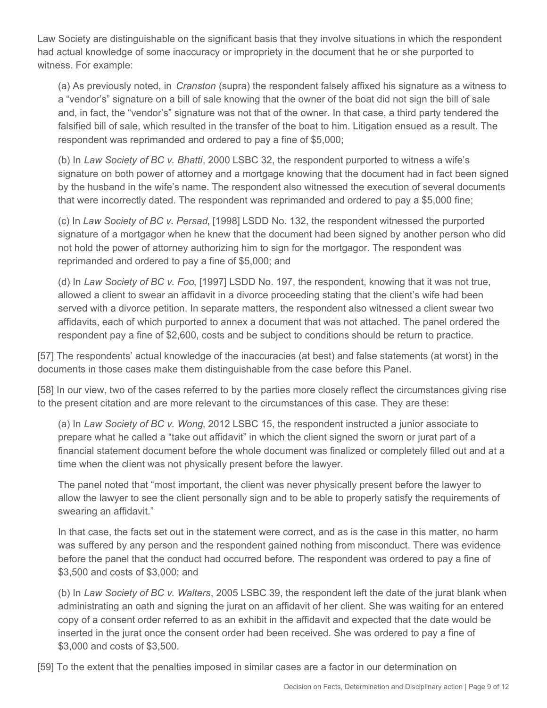Law Society are distinguishable on the significant basis that they involve situations in which the respondent had actual knowledge of some inaccuracy or impropriety in the document that he or she purported to witness. For example:

(a) As previously noted, in *Cranston* (supra) the respondent falsely affixed his signature as a witness to a "vendor's" signature on a bill of sale knowing that the owner of the boat did not sign the bill of sale and, in fact, the "vendor's" signature was not that of the owner. In that case, a third party tendered the falsified bill of sale, which resulted in the transfer of the boat to him. Litigation ensued as a result. The respondent was reprimanded and ordered to pay a fine of \$5,000;

(b) In *Law Society of BC v. Bhatti*, 2000 LSBC 32, the respondent purported to witness a wife's signature on both power of attorney and a mortgage knowing that the document had in fact been signed by the husband in the wife's name. The respondent also witnessed the execution of several documents that were incorrectly dated. The respondent was reprimanded and ordered to pay a \$5,000 fine;

(c) In *Law Society of BC v. Persad*, [1998] LSDD No. 132, the respondent witnessed the purported signature of a mortgagor when he knew that the document had been signed by another person who did not hold the power of attorney authorizing him to sign for the mortgagor. The respondent was reprimanded and ordered to pay a fine of \$5,000; and

(d) In *Law Society of BC v. Foo*, [1997] LSDD No. 197, the respondent, knowing that it was not true, allowed a client to swear an affidavit in a divorce proceeding stating that the client's wife had been served with a divorce petition. In separate matters, the respondent also witnessed a client swear two affidavits, each of which purported to annex a document that was not attached. The panel ordered the respondent pay a fine of \$2,600, costs and be subject to conditions should be return to practice.

[57] The respondents' actual knowledge of the inaccuracies (at best) and false statements (at worst) in the documents in those cases make them distinguishable from the case before this Panel.

[58] In our view, two of the cases referred to by the parties more closely reflect the circumstances giving rise to the present citation and are more relevant to the circumstances of this case. They are these:

(a) In *Law Society of BC v. Wong*, 2012 LSBC 15, the respondent instructed a junior associate to prepare what he called a "take out affidavit" in which the client signed the sworn or jurat part of a financial statement document before the whole document was finalized or completely filled out and at a time when the client was not physically present before the lawyer.

The panel noted that "most important, the client was never physically present before the lawyer to allow the lawyer to see the client personally sign and to be able to properly satisfy the requirements of swearing an affidavit."

In that case, the facts set out in the statement were correct, and as is the case in this matter, no harm was suffered by any person and the respondent gained nothing from misconduct. There was evidence before the panel that the conduct had occurred before. The respondent was ordered to pay a fine of \$3,500 and costs of \$3,000; and

(b) In *Law Society of BC v. Walters*, 2005 LSBC 39, the respondent left the date of the jurat blank when administrating an oath and signing the jurat on an affidavit of her client. She was waiting for an entered copy of a consent order referred to as an exhibit in the affidavit and expected that the date would be inserted in the jurat once the consent order had been received. She was ordered to pay a fine of \$3,000 and costs of \$3,500.

[59] To the extent that the penalties imposed in similar cases are a factor in our determination on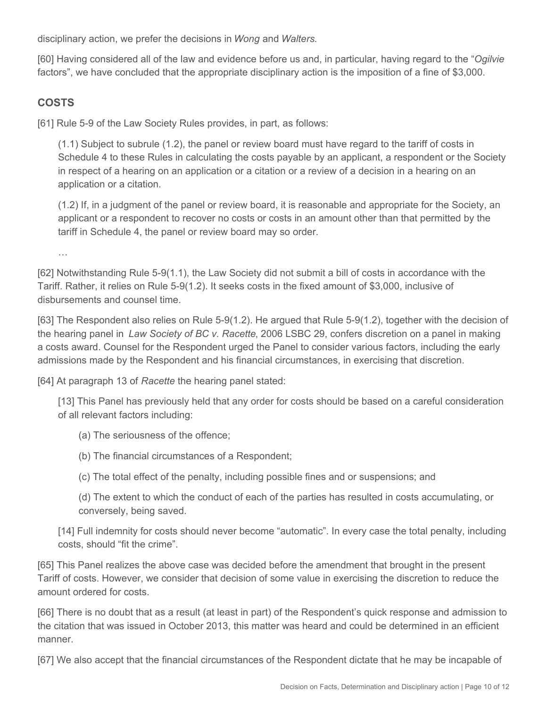disciplinary action, we prefer the decisions in *Wong* and *Walters*.

[60] Having considered all of the law and evidence before us and, in particular, having regard to the "*Ogilvie*  factors", we have concluded that the appropriate disciplinary action is the imposition of a fine of \$3,000.

# **COSTS**

[61] Rule 5-9 of the Law Society Rules provides, in part, as follows:

(1.1) Subject to subrule (1.2), the panel or review board must have regard to the tariff of costs in Schedule 4 to these Rules in calculating the costs payable by an applicant, a respondent or the Society in respect of a hearing on an application or a citation or a review of a decision in a hearing on an application or a citation.

(1.2) If, in a judgment of the panel or review board, it is reasonable and appropriate for the Society, an applicant or a respondent to recover no costs or costs in an amount other than that permitted by the tariff in Schedule 4, the panel or review board may so order.

…

[62] Notwithstanding Rule 5-9(1.1), the Law Society did not submit a bill of costs in accordance with the Tariff. Rather, it relies on Rule 5-9(1.2). It seeks costs in the fixed amount of \$3,000, inclusive of disbursements and counsel time.

[63] The Respondent also relies on Rule 5-9(1.2). He argued that Rule 5-9(1.2), together with the decision of the hearing panel in *Law Society of BC v. Racette*, 2006 LSBC 29, confers discretion on a panel in making a costs award. Counsel for the Respondent urged the Panel to consider various factors, including the early admissions made by the Respondent and his financial circumstances, in exercising that discretion.

[64] At paragraph 13 of *Racette* the hearing panel stated:

[13] This Panel has previously held that any order for costs should be based on a careful consideration of all relevant factors including:

(a) The seriousness of the offence;

- (b) The financial circumstances of a Respondent;
- (c) The total effect of the penalty, including possible fines and or suspensions; and
- (d) The extent to which the conduct of each of the parties has resulted in costs accumulating, or conversely, being saved.

[14] Full indemnity for costs should never become "automatic". In every case the total penalty, including costs, should "fit the crime".

[65] This Panel realizes the above case was decided before the amendment that brought in the present Tariff of costs. However, we consider that decision of some value in exercising the discretion to reduce the amount ordered for costs.

[66] There is no doubt that as a result (at least in part) of the Respondent's quick response and admission to the citation that was issued in October 2013, this matter was heard and could be determined in an efficient manner.

[67] We also accept that the financial circumstances of the Respondent dictate that he may be incapable of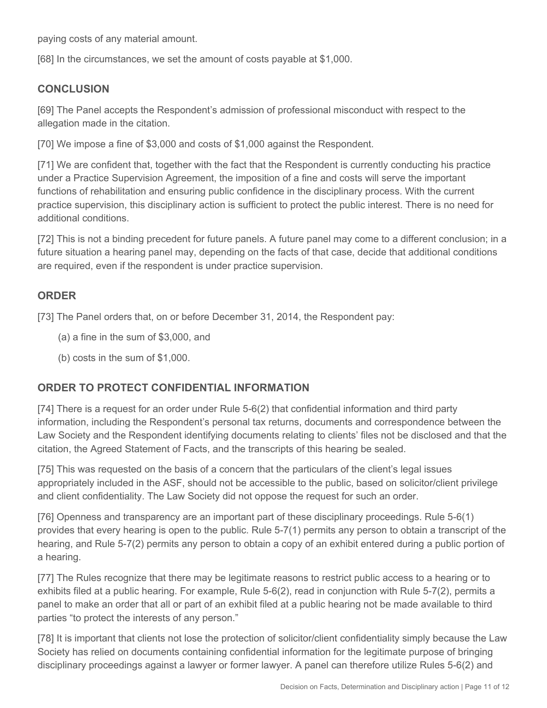paying costs of any material amount.

[68] In the circumstances, we set the amount of costs payable at \$1,000.

### **CONCLUSION**

[69] The Panel accepts the Respondent's admission of professional misconduct with respect to the allegation made in the citation.

[70] We impose a fine of \$3,000 and costs of \$1,000 against the Respondent.

[71] We are confident that, together with the fact that the Respondent is currently conducting his practice under a Practice Supervision Agreement, the imposition of a fine and costs will serve the important functions of rehabilitation and ensuring public confidence in the disciplinary process. With the current practice supervision, this disciplinary action is sufficient to protect the public interest. There is no need for additional conditions.

[72] This is not a binding precedent for future panels. A future panel may come to a different conclusion; in a future situation a hearing panel may, depending on the facts of that case, decide that additional conditions are required, even if the respondent is under practice supervision.

# **ORDER**

[73] The Panel orders that, on or before December 31, 2014, the Respondent pay:

- (a) a fine in the sum of \$3,000, and
- (b) costs in the sum of \$1,000.

# **ORDER TO PROTECT CONFIDENTIAL INFORMATION**

[74] There is a request for an order under Rule 5-6(2) that confidential information and third party information, including the Respondent's personal tax returns, documents and correspondence between the Law Society and the Respondent identifying documents relating to clients' files not be disclosed and that the citation, the Agreed Statement of Facts, and the transcripts of this hearing be sealed.

[75] This was requested on the basis of a concern that the particulars of the client's legal issues appropriately included in the ASF, should not be accessible to the public, based on solicitor/client privilege and client confidentiality. The Law Society did not oppose the request for such an order.

[76] Openness and transparency are an important part of these disciplinary proceedings. Rule 5-6(1) provides that every hearing is open to the public. Rule 5-7(1) permits any person to obtain a transcript of the hearing, and Rule 5-7(2) permits any person to obtain a copy of an exhibit entered during a public portion of a hearing.

[77] The Rules recognize that there may be legitimate reasons to restrict public access to a hearing or to exhibits filed at a public hearing. For example, Rule 5-6(2), read in conjunction with Rule 5-7(2), permits a panel to make an order that all or part of an exhibit filed at a public hearing not be made available to third parties "to protect the interests of any person."

[78] It is important that clients not lose the protection of solicitor/client confidentiality simply because the Law Society has relied on documents containing confidential information for the legitimate purpose of bringing disciplinary proceedings against a lawyer or former lawyer. A panel can therefore utilize Rules 5-6(2) and